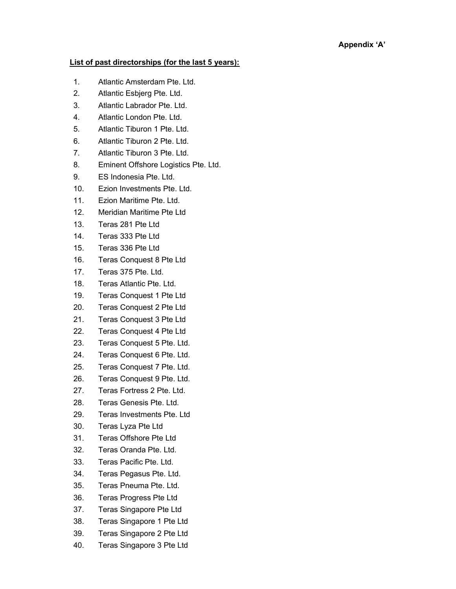## Appendix 'A'

## List of past directorships (for the last 5 years):

- 1. Atlantic Amsterdam Pte. Ltd.
- 2. Atlantic Esbjerg Pte. Ltd.
- 3. Atlantic Labrador Pte. Ltd.
- 4. Atlantic London Pte. Ltd.
- 5. Atlantic Tiburon 1 Pte. Ltd.
- 6. Atlantic Tiburon 2 Pte. Ltd.
- 7. Atlantic Tiburon 3 Pte. Ltd.
- 8. Eminent Offshore Logistics Pte. Ltd.
- 9. ES Indonesia Pte. Ltd.
- 10. Ezion Investments Pte. Ltd.
- 11. Ezion Maritime Pte. Ltd.
- 12. Meridian Maritime Pte Ltd
- 13. Teras 281 Pte Ltd
- 14. Teras 333 Pte Ltd
- 15. Teras 336 Pte Ltd
- 16. Teras Conquest 8 Pte Ltd
- 17. Teras 375 Pte. Ltd.
- 18. Teras Atlantic Pte. Ltd.
- 19. Teras Conquest 1 Pte Ltd
- 20. Teras Conquest 2 Pte Ltd
- 21. Teras Conquest 3 Pte Ltd
- 22. Teras Conquest 4 Pte Ltd
- 23. Teras Conquest 5 Pte. Ltd.
- 24. Teras Conquest 6 Pte. Ltd.
- 25. Teras Conquest 7 Pte. Ltd.
- 26. Teras Conquest 9 Pte. Ltd.
- 27. Teras Fortress 2 Pte. Ltd.
- 28. Teras Genesis Pte. Ltd.
- 29. Teras Investments Pte. Ltd
- 30. Teras Lyza Pte Ltd
- 31. Teras Offshore Pte Ltd
- 32. Teras Oranda Pte. Ltd.
- 33. Teras Pacific Pte. Ltd.
- 34. Teras Pegasus Pte. Ltd.
- 35. Teras Pneuma Pte. Ltd.
- 36. Teras Progress Pte Ltd
- 37. Teras Singapore Pte Ltd
- 38. Teras Singapore 1 Pte Ltd
- 39. Teras Singapore 2 Pte Ltd
- 40. Teras Singapore 3 Pte Ltd